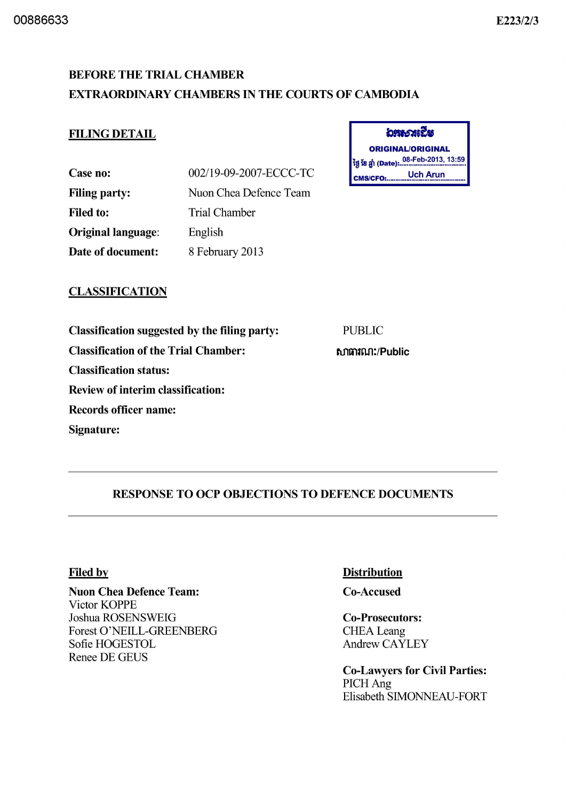# E223/2/3

# BEFORE THE TRIAL CHAMBER EXTRAORDINARY CHAMBERS IN THE COURTS OF CAMBODIA

### FILING DETAIL

| Case no:                  | 002/19-09-2007-ECCC-TC |
|---------------------------|------------------------|
| <b>Filing party:</b>      | Nuon Chea Defence Team |
| <b>Filed to:</b>          | Trial Chamber          |
| <b>Original language:</b> | English                |
| Date of document:         | 8 February 2013        |

| อระวงเปีย                                             |  |
|-------------------------------------------------------|--|
| <b>ORIGINAL/ORIGINAL</b>                              |  |
| <sup>່</sup> ថ្ងៃ ខែ ឆ្នាំ (Date): 08-Feb-2013, 13:59 |  |
| <b>Uch Arun</b><br><b>CMS/CFO:</b>                    |  |

### **CLASSIFICATION**

Classification suggested by the filing party: Classification of the Trial Chamber: Classification status:

Review of interim classification:

Records officer name:

Signature:

PUBLIC

ftfItilUUl:/Public

# RESPONSE TO OCP OBJECTIONS TO DEFENCE DOCUMENTS

#### Filed by

Nuon Chea Defence Team: Victor KOPPE Joshua ROSENSWEIG Forest O'NEILL-GREENBERG Sofie HOGESTOL Renee DE GEUS

#### **Distribution**

Co-Accused

Co-Prosecutors: **CHEA** Leang Andrew CAYLEY

Co-Lawyers for Civil Parties: PICH Ang Elisabeth SIMONNEAU-FORT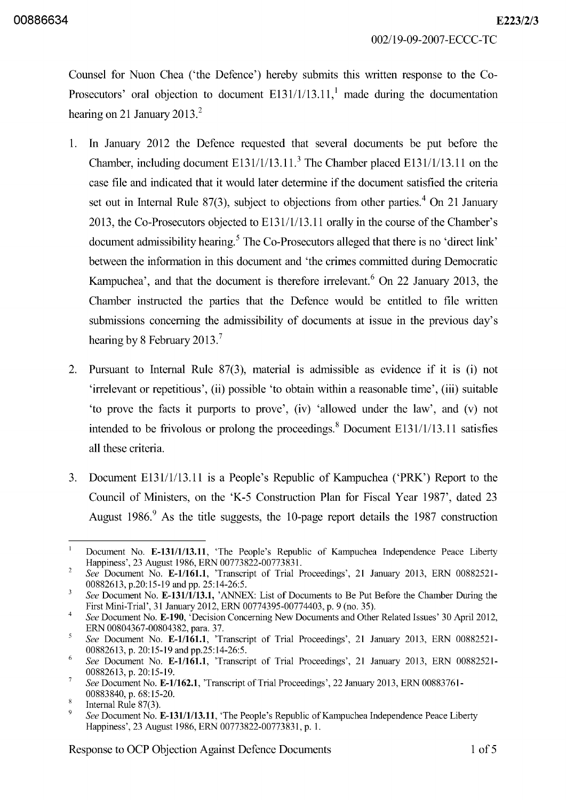002/19-09-2007 -ECCC-TC

Counsel for Nuon Chea ('the Defence') hereby submits this written response to the Co-Prosecutors' oral objection to document  $E131/1/13.11$ , made during the documentation hearing on 21 January 2013. $^2$ 

- l. In January 2012 the Defence requested that several documents be put before the Chamber, including document  $E131/1/13.11$ <sup>3</sup>. The Chamber placed  $E131/1/13.11$  on the case file and indicated that it would later determine if the document satisfied the criteria set out in Internal Rule 87(3), subject to objections from other parties.<sup>4</sup> On 21 January 20l3, the Co-Prosecutors objected to El31/1/l3.11 orally in the course of the Chamber's document admissibility hearing.<sup>5</sup> The Co-Prosecutors alleged that there is no 'direct link' between the information in this document and 'the crimes committed during Democratic Kampuchea', and that the document is therefore irrelevant.<sup>6</sup> On 22 January 2013, the Chamber instructed the parties that the Defence would be entitled to file written submissions concerning the admissibility of documents at issue in the previous day's hearing by 8 February 2013.<sup>7</sup>
- 2. Pursuant to Internal Rule 87(3), material is admissible as evidence if it is (i) not 'irrelevant or repetitious', (ii) possible 'to obtain within a reasonable time', (iii) suitable 'to prove the facts it purports to prove', (iv) 'allowed under the law', and (v) not intended to be frivolous or prolong the proceedings.<sup>8</sup> Document E131/1/13.11 satisfies all these criteria.
- 3. Document El31/1/l3.11 is a People's Republic of Kampuchea ('PRK') Report to the Council of Ministers, on the 'K-5 Construction Plan for Fiscal Year 1987', dated 23 August 1986.<sup>9</sup> As the title suggests, the 10-page report details the 1987 construction

Response to OCP Objection Against Defence Documents 1 of 5

 $\overline{1}$ Document No. E-131/1/13.11, 'The People's Republic of Kampuchea Independence Peace Liberty Happiness', 23 August 1986, ERN 00773822-00773831.

 $\overline{\mathcal{L}}$ *See* Document No. E-1/161.1, 'Transcript of Trial Proceedings', 21 January 2013, ERN 00882521- 00882613, p.20:15-19 and pp. 25:14-26:5.

 $\overline{\mathbf{3}}$ *See* Document No. E-131/1/13.1, 'ANNEX: List of Documents to Be Put Before the Chamber During the First Mini-Trial', 31 January 2012, ERN 00774395-00774403, p. 9 (no. 35).

<sup>4</sup>  *See* Document No. E-190, 'Decision Concerning New Documents and Other Related Issues' 30 Apri12012, ERN 00804367-00804382, para. 37.

<sup>5</sup> *See* Document No. E-1/161.1, 'Transcript of Trial Proceedings', 21 January 2013, ERN 00882521- 00882613, p. 20:15-19 and pp.25:14-26:5.

<sup>6</sup>  *See* Document No. E-1/161.1, 'Transcript of Trial Proceedings', 21 January 2013, ERN 00882521- 00882613, p. 20:15-19.

 $\overline{7}$ *See* Document No. E-1/162.1, 'Transcript of Trial Proceedings', 22 January 2013, ERN 00883761- 00883840, p. 68: 15-20.

 $\,$  8  $\,$ Internal Rule 87(3).

<sup>9</sup>  *See* Document No. E-131/1/13.11, 'The People's Republic of Kampuchea Independence Peace Liberty Happiness', 23 August 1986, ERN 00773822-00773831, p. l.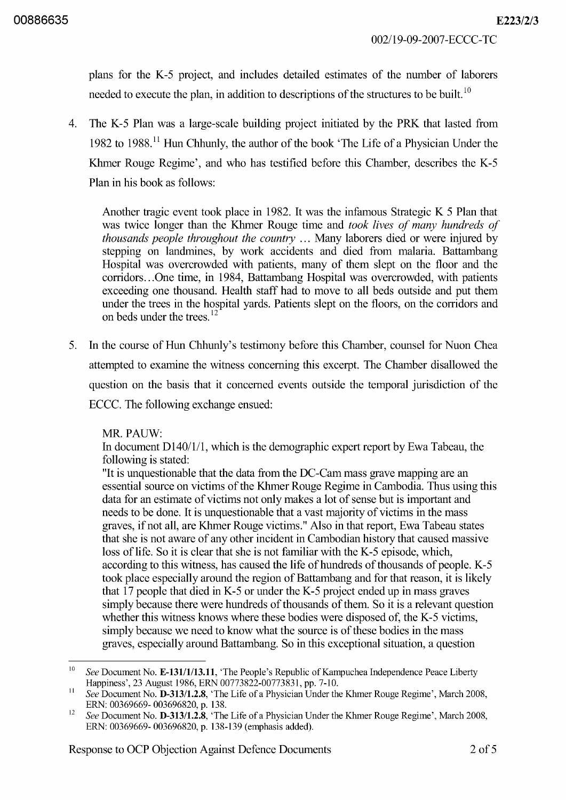plans for the K-5 project, and includes detailed estimates of the number of laborers needed to execute the plan, in addition to descriptions of the structures to be built.<sup>10</sup>

4. The K-5 Plan was a large-scale building project initiated by the PRK that lasted from 1982 to 1988. 11 Hun Chhunly, the author of the book 'The Life of a Physician Under the Khmer Rouge Regime', and who has testified before this Chamber, describes the K-5 Plan in his book as follows:

Another tragic event took place in 1982. It was the infamous Strategic K 5 Plan that was twice longer than the Khmer Rouge time and *took lives of many hundreds of thousands people throughout the country* ... Many laborers died or were injured by stepping on landmines, by work accidents and died from malaria. Battambang Hospital was overcrowded with patients, many of them slept on the floor and the corridors ... One time, in 1984, Battambang Hospital was overcrowded, with patients exceeding one thousand. Health staff had to move to all beds outside and put them under the trees in the hospital yards. Patients slept on the floors, on the corridors and on beds under the trees.<sup>12</sup>

5. In the course of Hun Chhunly's testimony before this Chamber, counsel for Nuon Chea attempted to examine the witness concerning this excerpt. The Chamber disallowed the question on the basis that it concerned events outside the temporal jurisdiction of the ECCC. The following exchange ensued:

MR.PAUW:

In document D140/1/1, which is the demographic expert report by Ewa Tabeau, the following is stated:

"It is unquestionable that the data from the DC-Cam mass grave mapping are an essential source on victims of the Khmer Rouge Regime in Cambodia. Thus using this data for an estimate of victims not only makes a lot of sense but is important and needs to be done. It is unquestionable that a vast majority of victims in the mass graves, if not all, are Khmer Rouge victims." Also in that report, Ewa Tabeau states that she is not aware of any other incident in Cambodian history that caused massive loss of life. So it is clear that she is not familiar with the K-5 episode, which, according to this witness, has caused the life of hundreds of thousands of people. K-5 took place especially around the region of Battambang and for that reason, it is likely that 17 people that died in K-5 or under the K-5 project ended up in mass graves simply because there were hundreds of thousands of them. So it is a relevant question whether this witness knows where these bodies were disposed of, the K-5 victims, simply because we need to know what the source is of these bodies in the mass graves, especially around Battambang. So in this exceptional situation, a question

<sup>&</sup>lt;sup>10</sup> See Document No. **E-131/1/13.11**, 'The People's Republic of Kampuchea Independence Peace Liberty Happiness', 23 August 1986, ERN 00773822-00773831, pp. 7-10.

<sup>11</sup>*See* Document No. D-313/1.2.8, 'The Life of a Physician Under the Khmer Rouge Regime', March 2008, ERN: 00369669-003696820, p. 138.

<sup>&</sup>lt;sup>12</sup> See Document No. **D-313/1.2.8**, 'The Life of a Physician Under the Khmer Rouge Regime', March 2008, ERN: 00369669- 003696820, p. 138-139 (emphasis added).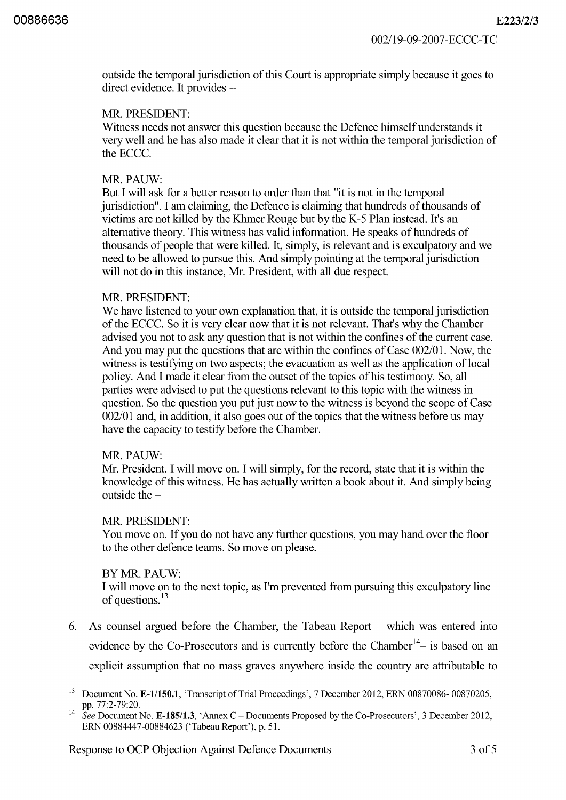outside the temporal jurisdiction of this Court is appropriate simply because it goes to direct evidence. It provides --

#### MR. PRESIDENT:

Witness needs not answer this question because the Defence himself understands it very well and he has also made it clear that it is not within the temporal jurisdiction of the ECCC.

#### MR.PAUW:

But I will ask for a better reason to order than that "it is not in the temporal jurisdiction". I am claiming, the Defence is claiming that hundreds of thousands of victims are not killed by the Khmer Rouge but by the K-5 Plan instead. It's an alternative theory. This witness has valid information. He speaks of hundreds of thousands of people that were killed. It, simply, is relevant and is exculpatory and we need to be allowed to pursue this. And simply pointing at the temporal jurisdiction will not do in this instance, Mr. President, with all due respect.

#### MR. PRESIDENT:

We have listened to your own explanation that, it is outside the temporal jurisdiction of the ECCe. So it is very clear now that it is not relevant. That's why the Chamber advised you not to ask any question that is not within the confines of the current case. And you may put the questions that are within the confines of Case 002/01. Now, the witness is testifying on two aspects; the evacuation as well as the application of local policy. And I made it clear from the outset of the topics of his testimony. So, all parties were advised to put the questions relevant to this topic with the witness in question. So the question you put just now to the witness is beyond the scope of Case 002/01 and, in addition, it also goes out of the topics that the witness before us may have the capacity to testify before the Chamber.

#### MR.PAUW:

Mr. President, I will move on. I will simply, for the record, state that it is within the knowledge of this witness. He has actually written a book about it. And simply being outside the  $-$ 

#### MR. PRESIDENT:

You move on. If you do not have any further questions, you may hand over the floor to the other defence teams. So move on please.

#### BYMR.PAUW:

I will move on to the next topic, as I'm prevented from pursuing this exculpatory line of questions.<sup>13</sup>

6. As counsel argued before the Chamber, the Tabeau Report - which was entered into evidence by the Co-Prosecutors and is currently before the Chamber<sup>14</sup> $-$  is based on an explicit assumption that no mass graves anywhere inside the country are attributable to

<sup>&</sup>lt;sup>13</sup> Document No. E-1/150.1, 'Transcript of Trial Proceedings', 7 December 2012, ERN 00870086-00870205, pp.77:2-79:20.

<sup>&</sup>lt;sup>14</sup> See Document No. E-185/1.3, 'Annex C – Documents Proposed by the Co-Prosecutors', 3 December 2012, ERN 00884447-00884623 ('Tabeau Report'), p. 51.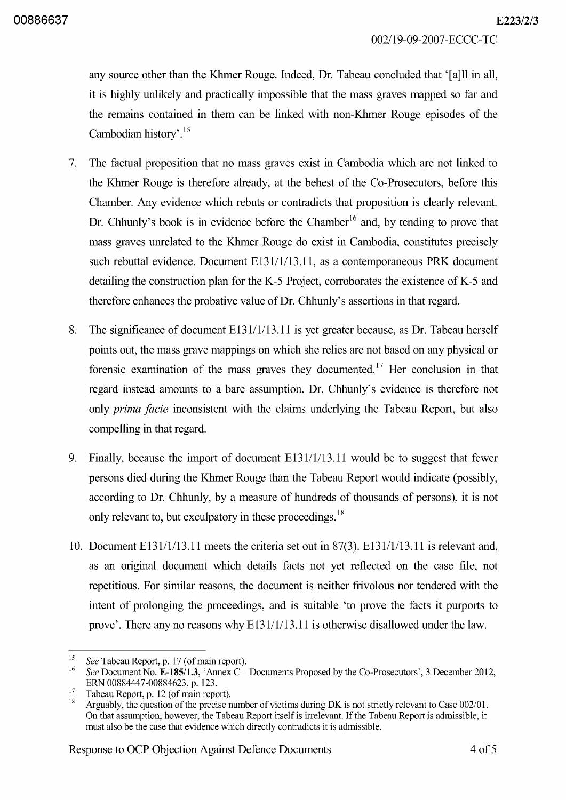002/19-09-2007 -ECCC-TC

any source other than the Khmer Rouge. Indeed, Dr. Tabeau concluded that '[a]ll in all, it is highly unlikely and practically impossible that the mass graves mapped so far and the remains contained in them can be linked with non-Khmer Rouge episodes of the Cambodian history'. 15

- 7. The factual proposition that no mass graves exist in Cambodia which are not linked to the Khmer Rouge is therefore already, at the behest of the Co-Prosecutors, before this Chamber. Any evidence which rebuts or contradicts that proposition is clearly relevant. Dr. Chhunly's book is in evidence before the Chamber<sup>16</sup> and, by tending to prove that mass graves unrelated to the Khmer Rouge do exist in Cambodia, constitutes precisely such rebuttal evidence. Document E131/1/13.11, as a contemporaneous PRK document detailing the construction plan for the K-5 Project, corroborates the existence of K-5 and therefore enhances the probative value of Dr. Chhunly's assertions in that regard.
- 8. The significance of document El31/1/l3.11 is yet greater because, as Dr. Tabeau herself points out, the mass grave mappings on which she relies are not based on any physical or forensic examination of the mass graves they documented.<sup>17</sup> Her conclusion in that regard instead amounts to a bare assumption. Dr. Chhunly's evidence is therefore not only *prima facie* inconsistent with the claims underlying the Tabeau Report, but also compelling in that regard.
- 9. Finally, because the import of document El31/1/l3.11 would be to suggest that fewer persons died during the Khmer Rouge than the Tabeau Report would indicate (possibly, according to Dr. Chhunly, by a measure of hundreds of thousands of persons), it is not only relevant to, but exculpatory in these proceedings.<sup>18</sup>
- 10. Document El31/1/l3.11 meets the criteria set out in 87(3). El31/1/l3.11 is relevant and, as an original document which details facts not yet reflected on the case file, not repetitious. For similar reasons, the document is neither frivolous nor tendered with the intent of prolonging the proceedings, and is suitable 'to prove the facts it purports to prove'. There any no reasons why E131/1/13.11 is otherwise disallowed under the law.

<sup>&</sup>lt;sup>15</sup> See Tabeau Report, p. 17 (of main report).<br><sup>16</sup> See Degwaat Na E **185/1.3** 'Annou C

<sup>16</sup>*See* Document No. *E-185/1.3,* 'Annex C - Documents Proposed by the Co-Prosecutors', 3 December 2012, ERN 00884447-00884623, p. 123.

 $17$  Tabeau Report, p. 12 (of main report).<br> $18$  Arguelly, the question of the precise

<sup>18</sup> Arguably, the question of the precise number of victims during DK is not strictly relevant to Case 002/01. On that assumption, however, the Tabeau Report itself is irrelevant. If the Tabeau Report is admissible, it must also be the case that evidence which directly contradicts it is admissible.